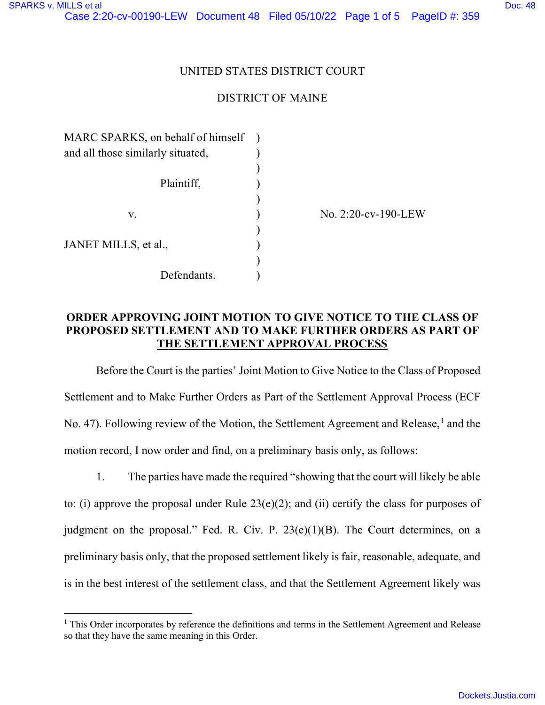#### UNITED STATES DISTRICT COURT

## DISTRICT OF MAINE

| MARC SPARKS, on behalf of himself |  |
|-----------------------------------|--|
| and all those similarly situated, |  |
|                                   |  |
| Plaintiff,                        |  |
|                                   |  |
| V.                                |  |
|                                   |  |
| JANET MILLS, et al.,              |  |
|                                   |  |
| Defendants.                       |  |
|                                   |  |

No. 2:20-cv-190-LEW

## **ORDER APPROVING JOINT MOTION TO GIVE NOTICE TO THE CLASS OF PROPOSED SETTLEMENT AND TO MAKE FURTHER ORDERS AS PART OF THE SETTLEMENT APPROVAL PROCESS**

Before the Court is the parties' Joint Motion to Give Notice to the Class of Proposed Settlement and to Make Further Orders as Part of the Settlement Approval Process (ECF No. 47). Following review of the Motion, the Settlement Agreement and Release,<sup>1</sup> and the motion record, I now order and find, on a preliminary basis only, as follows:

1. The parties have made the required "showing that the court will likely be able to: (i) approve the proposal under Rule 23(e)(2); and (ii) certify the class for purposes of judgment on the proposal." Fed. R. Civ. P.  $23(e)(1)(B)$ . The Court determines, on a preliminary basis only, that the proposed settlement likely is fair, reasonable, adequate, and is in the best interest of the settlement class, and that the Settlement Agreement likely was

<sup>&</sup>lt;sup>1</sup> This Order incorporates by reference the definitions and terms in the Settlement Agreement and Release so that they have the same meaning in this Order.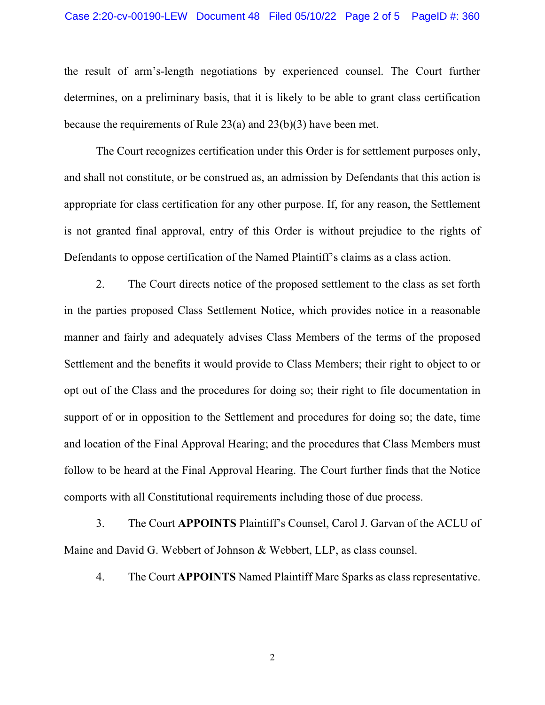#### Case 2:20-cv-00190-LEW Document 48 Filed 05/10/22 Page 2 of 5 PageID #: 360

the result of arm's-length negotiations by experienced counsel. The Court further determines, on a preliminary basis, that it is likely to be able to grant class certification because the requirements of Rule 23(a) and 23(b)(3) have been met.

The Court recognizes certification under this Order is for settlement purposes only, and shall not constitute, or be construed as, an admission by Defendants that this action is appropriate for class certification for any other purpose. If, for any reason, the Settlement is not granted final approval, entry of this Order is without prejudice to the rights of Defendants to oppose certification of the Named Plaintiff's claims as a class action.

2. The Court directs notice of the proposed settlement to the class as set forth in the parties proposed Class Settlement Notice, which provides notice in a reasonable manner and fairly and adequately advises Class Members of the terms of the proposed Settlement and the benefits it would provide to Class Members; their right to object to or opt out of the Class and the procedures for doing so; their right to file documentation in support of or in opposition to the Settlement and procedures for doing so; the date, time and location of the Final Approval Hearing; and the procedures that Class Members must follow to be heard at the Final Approval Hearing. The Court further finds that the Notice comports with all Constitutional requirements including those of due process.

3. The Court **APPOINTS** Plaintiff's Counsel, Carol J. Garvan of the ACLU of Maine and David G. Webbert of Johnson & Webbert, LLP, as class counsel.

4. The Court **APPOINTS** Named Plaintiff Marc Sparks as class representative.

2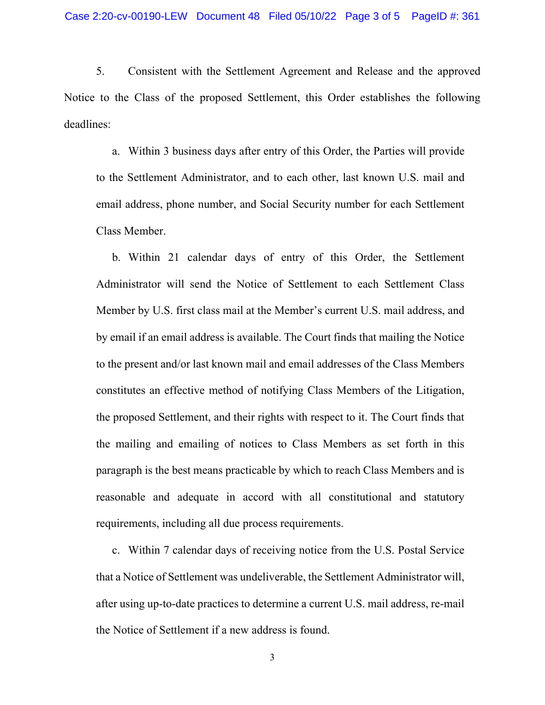5. Consistent with the Settlement Agreement and Release and the approved Notice to the Class of the proposed Settlement, this Order establishes the following deadlines:

a. Within 3 business days after entry of this Order, the Parties will provide to the Settlement Administrator, and to each other, last known U.S. mail and email address, phone number, and Social Security number for each Settlement Class Member.

b. Within 21 calendar days of entry of this Order, the Settlement Administrator will send the Notice of Settlement to each Settlement Class Member by U.S. first class mail at the Member's current U.S. mail address, and by email if an email address is available. The Court finds that mailing the Notice to the present and/or last known mail and email addresses of the Class Members constitutes an effective method of notifying Class Members of the Litigation, the proposed Settlement, and their rights with respect to it. The Court finds that the mailing and emailing of notices to Class Members as set forth in this paragraph is the best means practicable by which to reach Class Members and is reasonable and adequate in accord with all constitutional and statutory requirements, including all due process requirements.

c. Within 7 calendar days of receiving notice from the U.S. Postal Service that a Notice of Settlement was undeliverable, the Settlement Administrator will, after using up-to-date practices to determine a current U.S. mail address, re-mail the Notice of Settlement if a new address is found.

3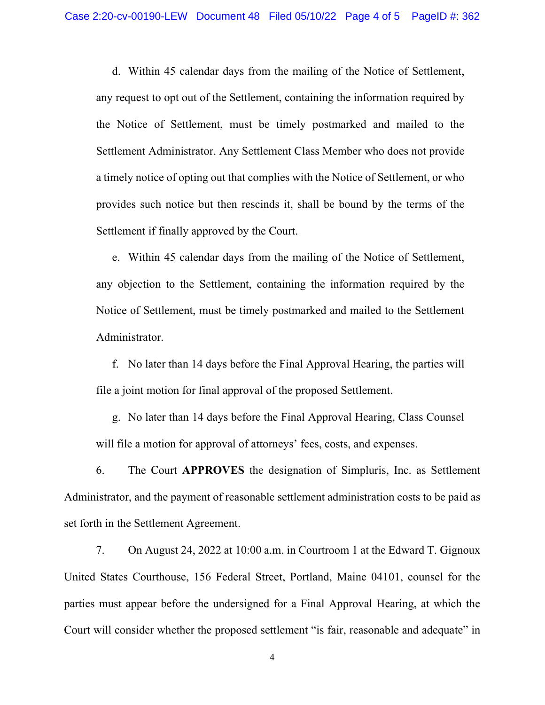d. Within 45 calendar days from the mailing of the Notice of Settlement, any request to opt out of the Settlement, containing the information required by the Notice of Settlement, must be timely postmarked and mailed to the Settlement Administrator. Any Settlement Class Member who does not provide a timely notice of opting out that complies with the Notice of Settlement, or who provides such notice but then rescinds it, shall be bound by the terms of the Settlement if finally approved by the Court.

e. Within 45 calendar days from the mailing of the Notice of Settlement, any objection to the Settlement, containing the information required by the Notice of Settlement, must be timely postmarked and mailed to the Settlement Administrator.

f. No later than 14 days before the Final Approval Hearing, the parties will file a joint motion for final approval of the proposed Settlement.

g. No later than 14 days before the Final Approval Hearing, Class Counsel will file a motion for approval of attorneys' fees, costs, and expenses.

6. The Court **APPROVES** the designation of Simpluris, Inc. as Settlement Administrator, and the payment of reasonable settlement administration costs to be paid as set forth in the Settlement Agreement.

7. On August 24, 2022 at 10:00 a.m. in Courtroom 1 at the Edward T. Gignoux United States Courthouse, 156 Federal Street, Portland, Maine 04101, counsel for the parties must appear before the undersigned for a Final Approval Hearing, at which the Court will consider whether the proposed settlement "is fair, reasonable and adequate" in

4